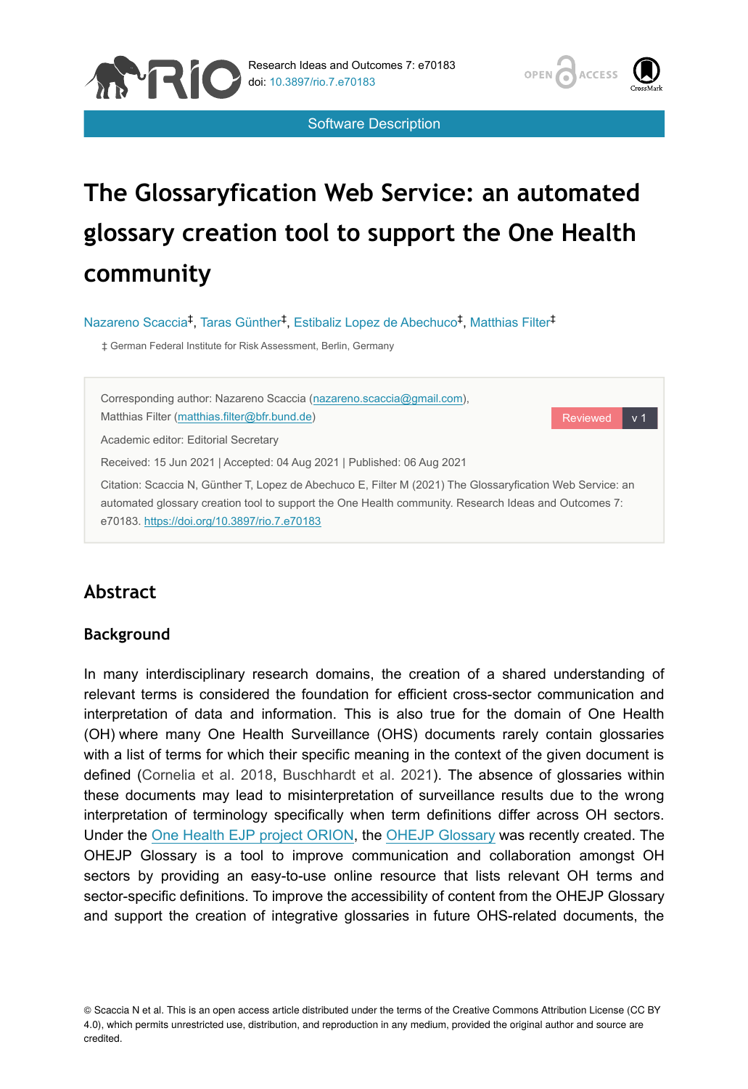

Software Description



# **The Glossaryfication Web Service: an automated glossary creation tool to support the One Health community**

Nazareno Scaccia<sup>‡</sup>, Taras Günther<sup>‡</sup>, Estibaliz Lopez de Abechuco<sup>‡</sup>, Matthias Filter<sup>‡</sup>

‡ German Federal Institute for Risk Assessment, Berlin, Germany



## **Abstract**

#### **Background**

In many interdisciplinary research domains, the creation of a shared understanding of relevant terms is considered the foundation for efficient cross-sector communication and interpretation of data and information. This is also true for the domain of One Health (OH) where many One Health Surveillance (OHS) documents rarely contain glossaries with a list of terms for which their specific meaning in the context of the given document is defined ([Cornelia et al. 2018,](#page-7-0) [Buschhardt et al. 2021\)](#page-7-1). The absence of glossaries within these documents may lead to misinterpretation of surveillance results due to the wrong interpretation of terminology specifically when term definitions differ across OH sectors. Under the [One Health EJP project ORION](https://onehealthejp.eu/jip-orion/), the [OHEJP Glossary](https://aginfra.d4science.org/web/orionknowledgehub/catalogue) was recently created. The OHEJP Glossary is a tool to improve communication and collaboration amongst OH sectors by providing an easy-to-use online resource that lists relevant OH terms and sector-specific definitions. To improve the accessibility of content from the OHEJP Glossary and support the creation of integrative glossaries in future OHS-related documents, the

© Scaccia N et al. This is an open access article distributed under the terms of the Creative Commons Attribution License (CC BY 4.0), which permits unrestricted use, distribution, and reproduction in any medium, provided the original author and source are credited.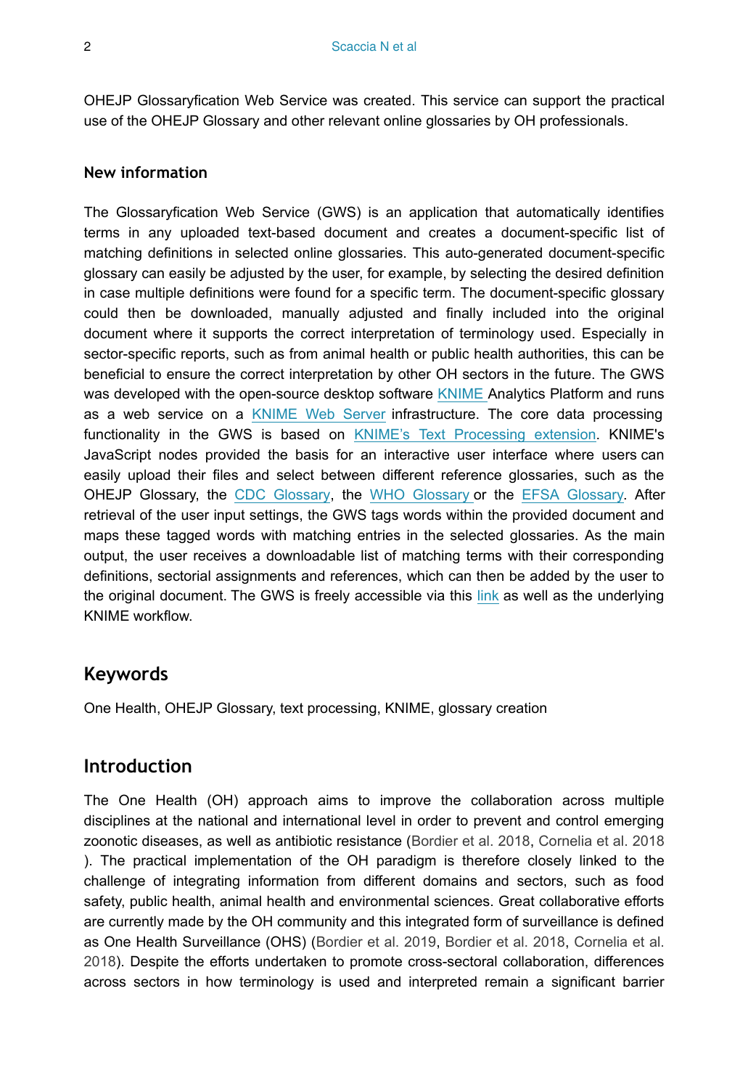OHEJP Glossaryfication Web Service was created. This service can support the practical use of the OHEJP Glossary and other relevant online glossaries by OH professionals.

#### **New information**

The Glossaryfication Web Service (GWS) is an application that automatically identifies terms in any uploaded text-based document and creates a document-specific list of matching definitions in selected online glossaries. This auto-generated document-specific glossary can easily be adjusted by the user, for example, by selecting the desired definition in case multiple definitions were found for a specific term. The document-specific glossary could then be downloaded, manually adjusted and finally included into the original document where it supports the correct interpretation of terminology used. Especially in sector-specific reports, such as from animal health or public health authorities, this can be beneficial to ensure the correct interpretation by other OH sectors in the future. The GWS was developed with the open-source desktop software [KNIME A](http://www.knime.com/)nalytics Platform and runs as a web service on a [KNIME Web Server](http://www.knime.com/knime-server) infrastructure. The core data processing functionality in the GWS is based on [KNIME's Text Processing extension](http://hub.knime.com/knime/extensions/org.knime.features.ext.textprocessing/latest). KNIME's JavaScript nodes provided the basis for an interactive user interface where users can easily upload their files and select between different reference glossaries, such as the OHEJP Glossary, the [CDC Glossary](https://www.cdc.gov/csels/dsepd/ss1978/glossary.html), the [WHO Glossary](https://www.who.int/healthsystems/hss_glossary/en/) or the [EFSA Glossary](https://www.efsa.europa.eu/en/glossary-taxonomy-terms). After retrieval of the user input settings, the GWS tags words within the provided document and maps these tagged words with matching entries in the selected glossaries. As the main output, the user receives a downloadable list of matching terms with their corresponding definitions, sectorial assignments and references, which can then be added by the user to the original document. The GWS is freely accessible via this [link](https://foodrisklabs.bfr.bund.de/ohejp-glossary/) as well as the underlying KNIME workflow.

## **Keywords**

One Health, OHEJP Glossary, text processing, KNIME, glossary creation

## **Introduction**

The One Health (OH) approach aims to improve the collaboration across multiple disciplines at the national and international level in order to prevent and control emerging zoonotic diseases, as well as antibiotic resistance ([Bordier et al. 2018](#page-7-2), [Cornelia et al. 2018](#page-7-0) ). The practical implementation of the OH paradigm is therefore closely linked to the challenge of integrating information from different domains and sectors, such as food safety, public health, animal health and environmental sciences. Great collaborative efforts are currently made by the OH community and this integrated form of surveillance is defined as One Health Surveillance (OHS) ([Bordier et al. 2019,](#page-7-3) [Bordier et al. 2018](#page-7-2), [Cornelia et al.](#page-7-0) [2018](#page-7-0)). Despite the efforts undertaken to promote cross-sectoral collaboration, differences across sectors in how terminology is used and interpreted remain a significant barrier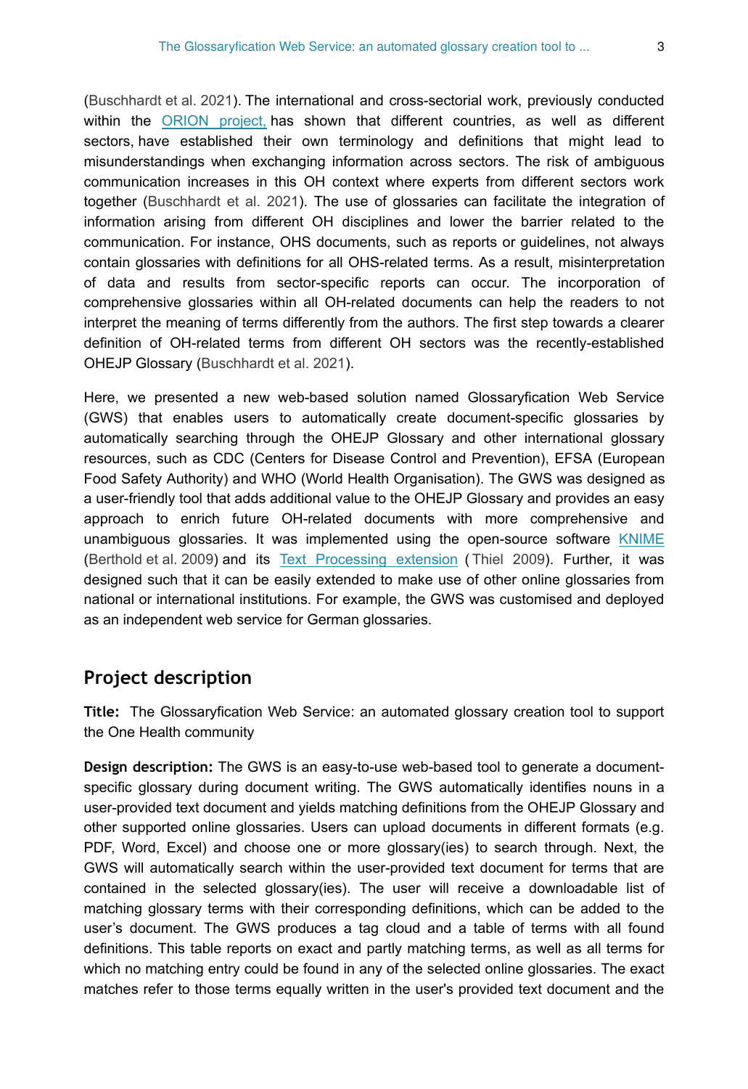[\(Buschhardt et al. 2021](#page-7-1)). The international and cross-sectorial work, previously conducted within the [ORION project,](https://onehealthejp.eu/jip-orion/) has shown that different countries, as well as different sectors, have established their own terminology and definitions that might lead to misunderstandings when exchanging information across sectors. The risk of ambiguous communication increases in this OH context where experts from different sectors work together [\(Buschhardt et al. 2021\)](#page-7-1). The use of glossaries can facilitate the integration of information arising from different OH disciplines and lower the barrier related to the communication. For instance, OHS documents, such as reports or guidelines, not always contain glossaries with definitions for all OHS-related terms. As a result, misinterpretation of data and results from sector-specific reports can occur. The incorporation of comprehensive glossaries within all OH-related documents can help the readers to not interpret the meaning of terms differently from the authors. The first step towards a clearer definition of OH-related terms from different OH sectors was the recently-established OHEJP Glossary ([Buschhardt et al. 2021\)](#page-7-1).

Here, we presented a new web-based solution named Glossaryfication Web Service (GWS) that enables users to automatically create document-specific glossaries by automatically searching through the OHEJP Glossary and other international glossary resources, such as CDC (Centers for Disease Control and Prevention), EFSA (European Food Safety Authority) and WHO (World Health Organisation). The GWS was designed as a user-friendly tool that adds additional value to the OHEJP Glossary and provides an easy approach to enrich future OH-related documents with more comprehensive and unambiguous glossaries. It was implemented using the open-source software [KNIME](https://www.knime.com/) [\(Berthold et al. 2009](#page-7-4)) and its [Text Processing extension](http://hub.knime.com/knime/extensions/org.knime.features.ext.textprocessing/latest) ( [Thiel 2009\)](#page-8-0). Further, it was designed such that it can be easily extended to make use of other online glossaries from national or international institutions. For example, the GWS was customised and deployed as an independent web service for German glossaries.

## **Project description**

**Title:** The Glossaryfication Web Service: an automated glossary creation tool to support the One Health community

**Design description:** The GWS is an easy-to-use web-based tool to generate a documentspecific glossary during document writing. The GWS automatically identifies nouns in a user-provided text document and yields matching definitions from the OHEJP Glossary and other supported online glossaries. Users can upload documents in different formats (e.g. PDF, Word, Excel) and choose one or more glossary(ies) to search through. Next, the GWS will automatically search within the user-provided text document for terms that are contained in the selected glossary(ies). The user will receive a downloadable list of matching glossary terms with their corresponding definitions, which can be added to the user's document. The GWS produces a tag cloud and a table of terms with all found definitions. This table reports on exact and partly matching terms, as well as all terms for which no matching entry could be found in any of the selected online glossaries. The exact matches refer to those terms equally written in the user's provided text document and the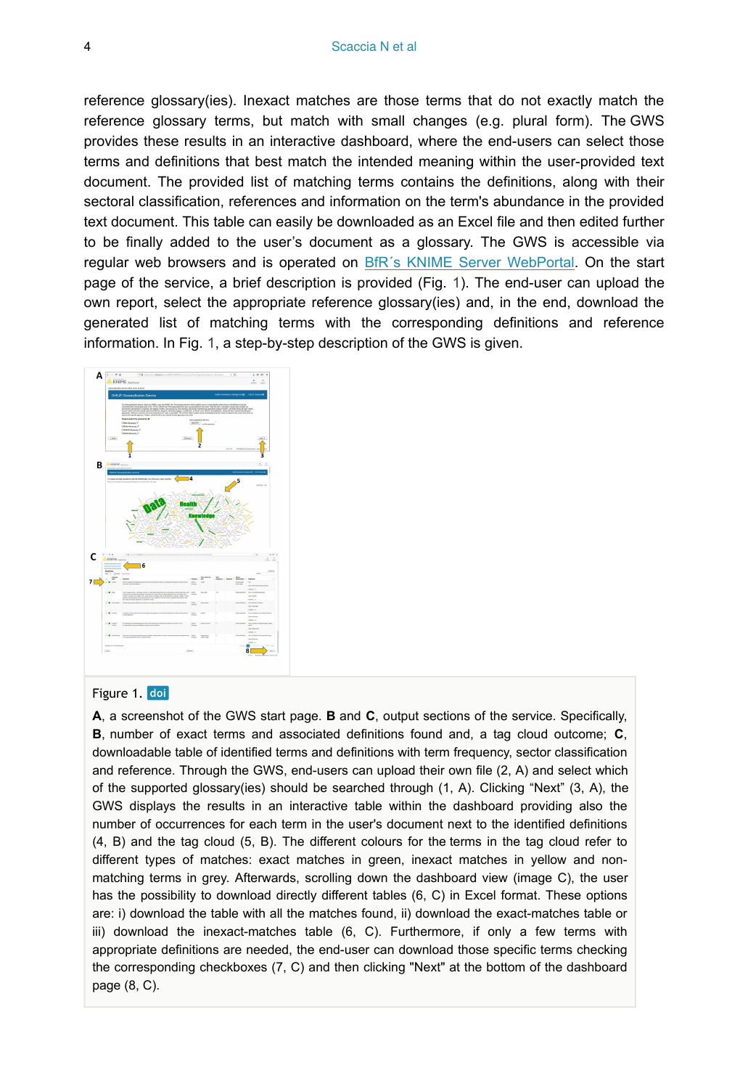reference glossary(ies). Inexact matches are those terms that do not exactly match the reference glossary terms, but match with small changes (e.g. plural form). The GWS provides these results in an interactive dashboard, where the end-users can select those terms and definitions that best match the intended meaning within the user-provided text document. The provided list of matching terms contains the definitions, along with their sectoral classification, references and information on the term's abundance in the provided text document. This table can easily be downloaded as an Excel file and then edited further to be finally added to the user's document as a glossary. The GWS is accessible via regular web browsers and is operated on [BfR´s KNIME Server WebPortal](https://knime.bfr.berlin/knime/#/EJP_ORION/Text%20Processing%20Technology/Glossaryfication-Service&single&run). On the start page of the service, a brief description is provided (Fig. [1\)](#page-3-0). The end-user can upload the own report, select the appropriate reference glossary(ies) and, in the end, download the generated list of matching terms with the corresponding definitions and reference information. In Fig. [1](#page-3-0), a step-by-step description of the GWS is given.

<span id="page-3-0"></span>

#### Figure 1. doi

**A**, a screenshot of the GWS start page. **B** and **C**, output sections of the service. Specifically, **B**, number of exact terms and associated definitions found and, a tag cloud outcome; **C**, downloadable table of identified terms and definitions with term frequency, sector classification and reference. Through the GWS, end-users can upload their own file (2, A) and select which of the supported glossary(ies) should be searched through (1, A). Clicking "Next" (3, A), the GWS displays the results in an interactive table within the dashboard providing also the number of occurrences for each term in the user's document next to the identified definitions (4, B) and the tag cloud (5, B). The different colours for the terms in the tag cloud refer to different types of matches: exact matches in green, inexact matches in yellow and nonmatching terms in grey. Afterwards, scrolling down the dashboard view (image C), the user has the possibility to download directly different tables (6, C) in Excel format. These options are: i) download the table with all the matches found, ii) download the exact-matches table or iii) download the inexact-matches table (6, C). Furthermore, if only a few terms with appropriate definitions are needed, the end-user can download those specific terms checking the corresponding checkboxes (7, C) and then clicking "Next" at the bottom of the dashboard page (8, C).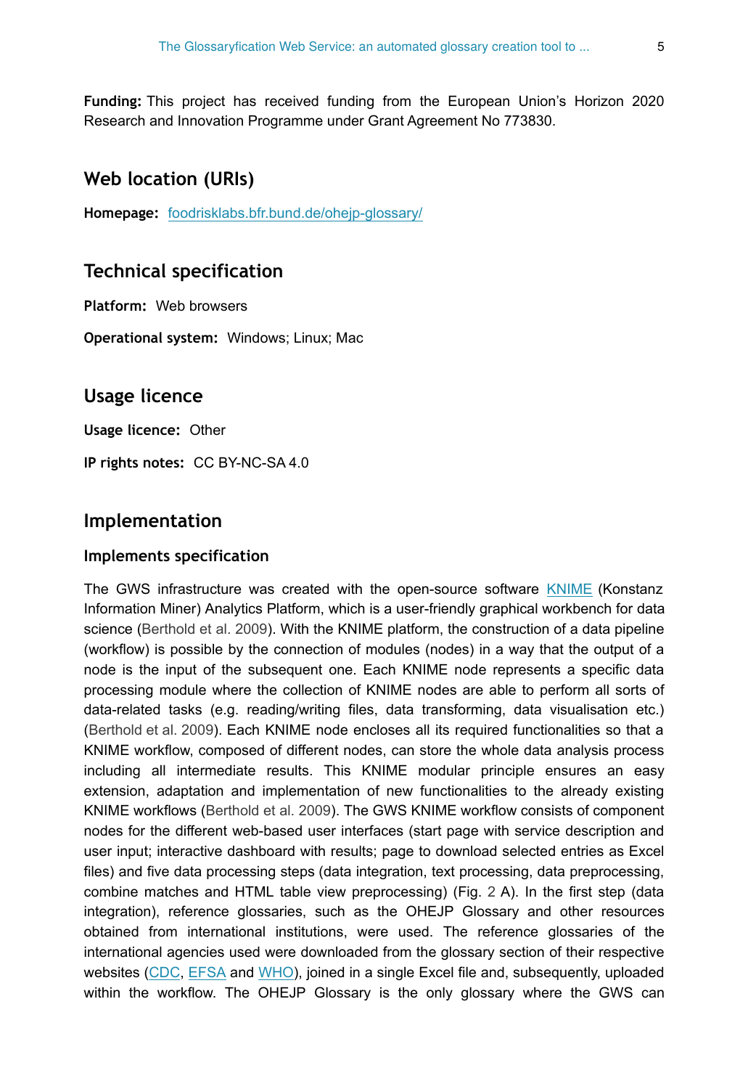**Funding:** This project has received funding from the European Union's Horizon 2020 Research and Innovation Programme under Grant Agreement No 773830.

### **Web location (URIs)**

**Homepage:** [foodrisklabs.bfr.bund.de/ohejp-glossary/](https://riojournal.com/foodrisklabs.bfr.bund.de/ohejp-glossary/)

#### **Technical specification**

**Platform:** Web browsers

**Operational system:** Windows; Linux; Mac

### **Usage licence**

**Usage licence:** Other

**IP rights notes:** CC BY-NC-SA 4.0

### **Implementation**

#### **Implements specification**

The GWS infrastructure was created with the open-source software [KNIME](https://www.knime.com/) (Konstanz Information Miner) Analytics Platform, which is a user-friendly graphical workbench for data science ([Berthold et al. 2009](#page-7-4)). With the KNIME platform, the construction of a data pipeline (workflow) is possible by the connection of modules (nodes) in a way that the output of a node is the input of the subsequent one. Each KNIME node represents a specific data processing module where the collection of KNIME nodes are able to perform all sorts of data-related tasks (e.g. reading/writing files, data transforming, data visualisation etc.) [\(Berthold et al. 2009](#page-7-4)). Each KNIME node encloses all its required functionalities so that a KNIME workflow, composed of different nodes, can store the whole data analysis process including all intermediate results. This KNIME modular principle ensures an easy extension, adaptation and implementation of new functionalities to the already existing KNIME workflows ([Berthold et al. 2009\)](#page-7-4). The GWS KNIME workflow consists of component nodes for the different web-based user interfaces (start page with service description and user input; interactive dashboard with results; page to download selected entries as Excel files) and five data processing steps (data integration, text processing, data preprocessing, combine matches and HTML table view preprocessing) (Fig. [2](#page-6-0) A). In the first step (data integration), reference glossaries, such as the OHEJP Glossary and other resources obtained from international institutions, were used. The reference glossaries of the international agencies used were downloaded from the glossary section of their respective websites [\(CDC,](https://www.cdc.gov/csels/dsepd/ss1978/glossary.html) [EFSA](https://www.efsa.europa.eu/en/glossary-taxonomy-terms) and [WHO\)](https://www.who.int/), joined in a single Excel file and, subsequently, uploaded within the workflow. The OHEJP Glossary is the only glossary where the GWS can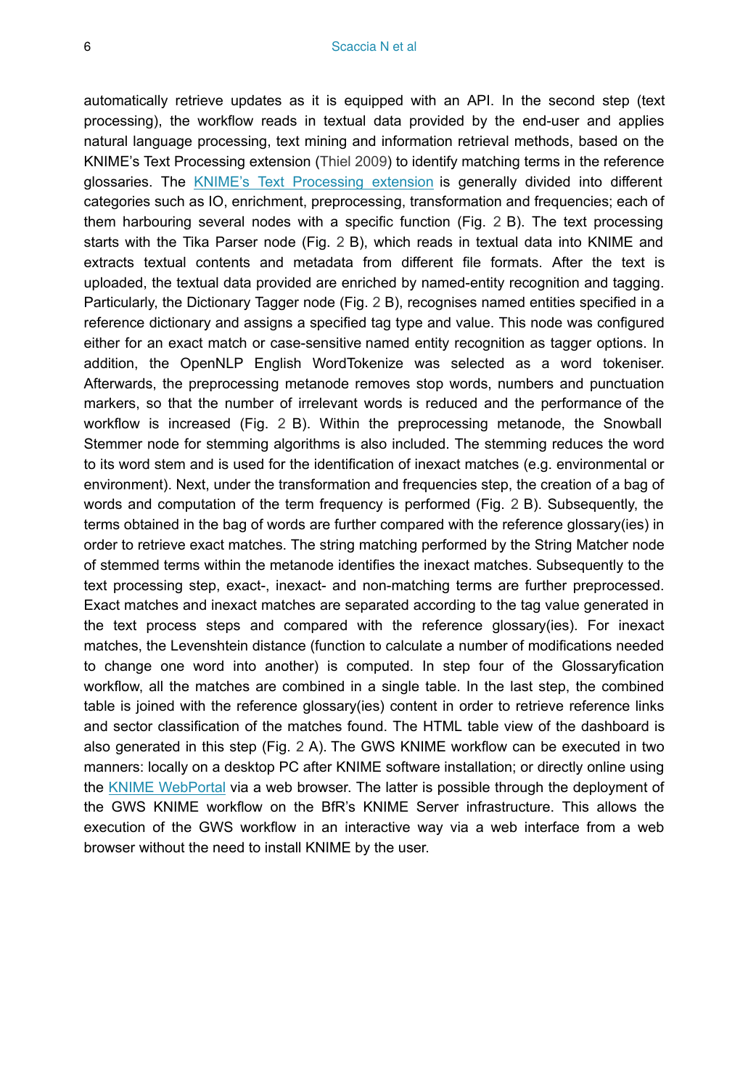automatically retrieve updates as it is equipped with an API. In the second step (text processing), the workflow reads in textual data provided by the end-user and applies natural language processing, text mining and information retrieval methods, based on the KNIME's Text Processing extension ([Thiel 2009\)](#page-8-0) to identify matching terms in the reference glossaries. The [KNIME's Text Processing extension](https://hub.knime.com/knime/extensions/org.knime.features.ext.textprocessing/latest) is generally divided into different categories such as IO, enrichment, preprocessing, transformation and frequencies; each of them harbouring several nodes with a specific function (Fig. [2](#page-6-0) B). The text processing starts with the Tika Parser node (Fig. [2](#page-6-0) B), which reads in textual data into KNIME and extracts textual contents and metadata from different file formats. After the text is uploaded, the textual data provided are enriched by named-entity recognition and tagging. Particularly, the Dictionary Tagger node (Fig. [2](#page-6-0) B), recognises named entities specified in a reference dictionary and assigns a specified tag type and value. This node was configured either for an exact match or case-sensitive named entity recognition as tagger options. In addition, the OpenNLP English WordTokenize was selected as a word tokeniser. Afterwards, the preprocessing metanode removes stop words, numbers and punctuation markers, so that the number of irrelevant words is reduced and the performance of the workflow is increased (Fig. [2](#page-6-0) B). Within the preprocessing metanode, the Snowball Stemmer node for stemming algorithms is also included. The stemming reduces the word to its word stem and is used for the identification of inexact matches (e.g. environmental or environment). Next, under the transformation and frequencies step, the creation of a bag of words and computation of the term frequency is performed (Fig. [2](#page-6-0) B). Subsequently, the terms obtained in the bag of words are further compared with the reference glossary(ies) in order to retrieve exact matches. The string matching performed by the String Matcher node of stemmed terms within the metanode identifies the inexact matches. Subsequently to the text processing step, exact-, inexact- and non-matching terms are further preprocessed. Exact matches and inexact matches are separated according to the tag value generated in the text process steps and compared with the reference glossary(ies). For inexact matches, the Levenshtein distance (function to calculate a number of modifications needed to change one word into another) is computed. In step four of the Glossaryfication workflow, all the matches are combined in a single table. In the last step, the combined table is joined with the reference glossary(ies) content in order to retrieve reference links and sector classification of the matches found. The HTML table view of the dashboard is also generated in this step (Fig. [2](#page-6-0) A). The GWS KNIME workflow can be executed in two manners: locally on a desktop PC after KNIME software installation; or directly online using the [KNIME WebPortal](https://www.knime.com/knime-software/knime-webportal) via a web browser. The latter is possible through the deployment of the GWS KNIME workflow on the BfR's KNIME Server infrastructure. This allows the execution of the GWS workflow in an interactive way via a web interface from a web browser without the need to install KNIME by the user.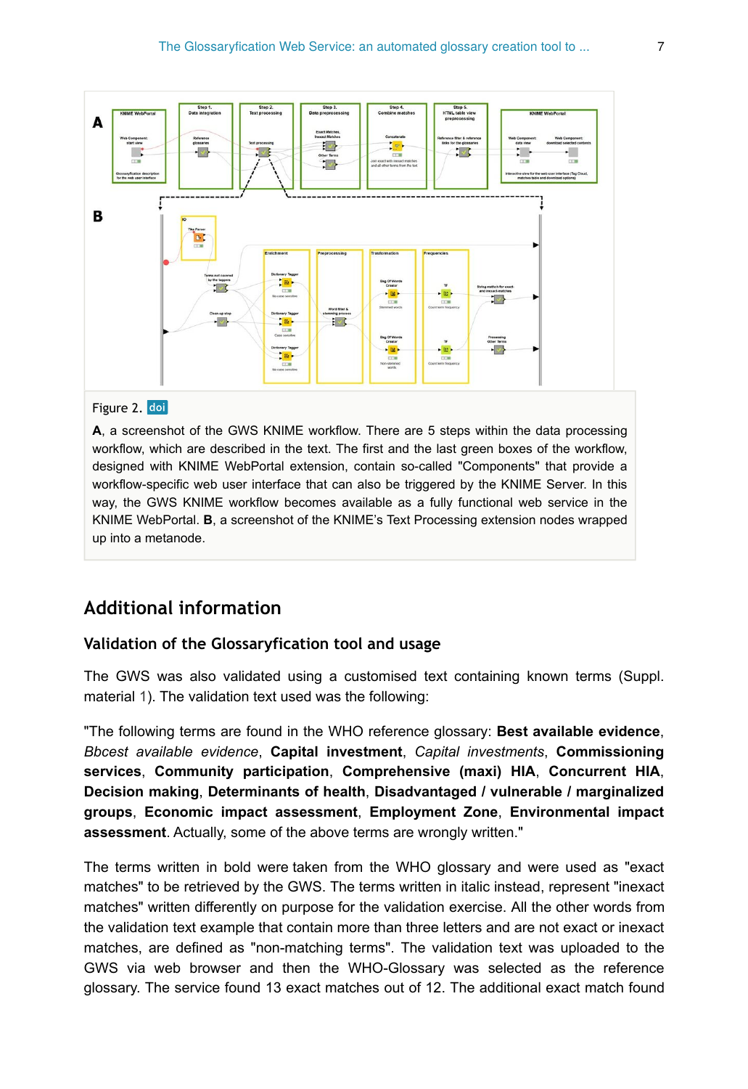<span id="page-6-0"></span>

#### Figure 2. doi

**A**, a screenshot of the GWS KNIME workflow. There are 5 steps within the data processing workflow, which are described in the text. The first and the last green boxes of the workflow, designed with KNIME WebPortal extension, contain so-called "Components" that provide a workflow-specific web user interface that can also be triggered by the KNIME Server. In this way, the GWS KNIME workflow becomes available as a fully functional web service in the KNIME WebPortal. **B**, a screenshot of the KNIME's Text Processing extension nodes wrapped up into a metanode.

### **Additional information**

#### **Validation of the Glossaryfication tool and usage**

The GWS was also validated using a customised text containing known terms (Suppl. material [1\)](#page-8-1). The validation text used was the following:

"The following terms are found in the WHO reference glossary: **Best available evidence**, *Bbcest available evidence*, **Capital investment**, *Capital investments*, **Commissioning services**, **Community participation**, **Comprehensive (maxi) HIA**, **Concurrent HIA**, **Decision making**, **Determinants of health**, **Disadvantaged / vulnerable / marginalized groups**, **Economic impact assessment**, **Employment Zone**, **Environmental impact assessment**. Actually, some of the above terms are wrongly written."

The terms written in bold were taken from the WHO glossary and were used as "exact matches" to be retrieved by the GWS. The terms written in italic instead, represent "inexact matches" written differently on purpose for the validation exercise. All the other words from the validation text example that contain more than three letters and are not exact or inexact matches, are defined as "non-matching terms". The validation text was uploaded to the GWS via web browser and then the WHO-Glossary was selected as the reference glossary. The service found 13 exact matches out of 12. The additional exact match found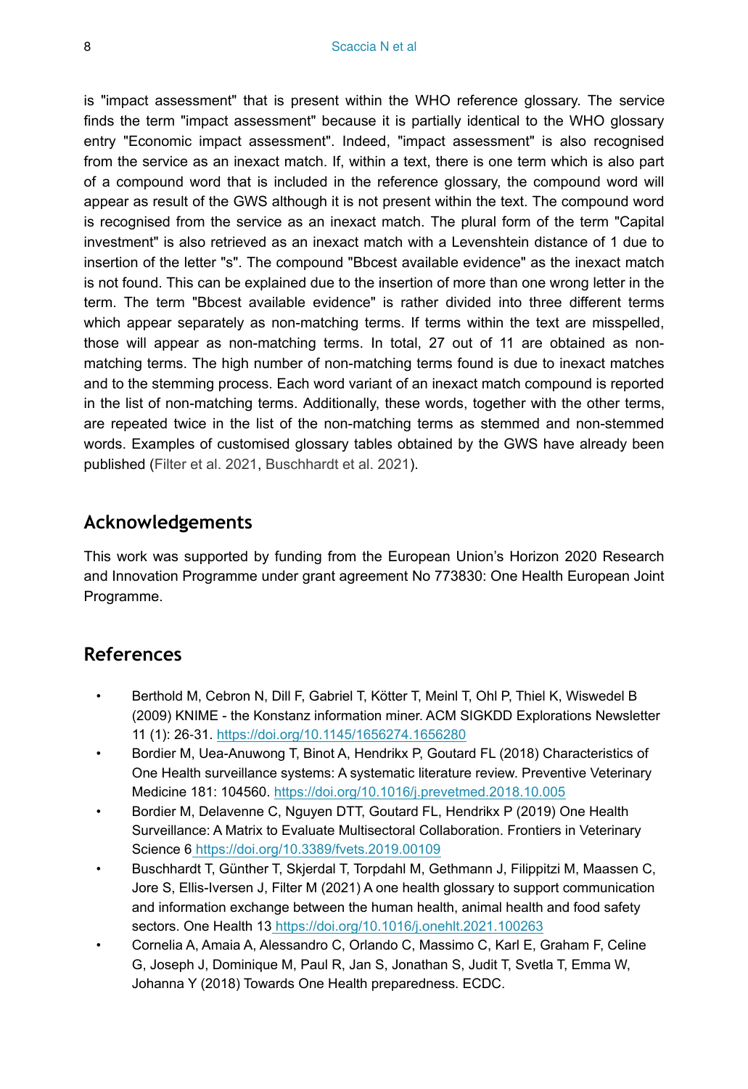is "impact assessment" that is present within the WHO reference glossary. The service finds the term "impact assessment" because it is partially identical to the WHO glossary entry "Economic impact assessment". Indeed, "impact assessment" is also recognised from the service as an inexact match. If, within a text, there is one term which is also part of a compound word that is included in the reference glossary, the compound word will appear as result of the GWS although it is not present within the text. The compound word is recognised from the service as an inexact match. The plural form of the term "Capital investment" is also retrieved as an inexact match with a Levenshtein distance of 1 due to insertion of the letter "s". The compound "Bbcest available evidence" as the inexact match is not found. This can be explained due to the insertion of more than one wrong letter in the term. The term "Bbcest available evidence" is rather divided into three different terms which appear separately as non-matching terms. If terms within the text are misspelled, those will appear as non-matching terms. In total, 27 out of 11 are obtained as nonmatching terms. The high number of non-matching terms found is due to inexact matches and to the stemming process. Each word variant of an inexact match compound is reported in the list of non-matching terms. Additionally, these words, together with the other terms, are repeated twice in the list of the non-matching terms as stemmed and non-stemmed words. Examples of customised glossary tables obtained by the GWS have already been published [\(Filter et al. 2021](#page-8-2), [Buschhardt et al. 2021](#page-7-1)).

## **Acknowledgements**

This work was supported by funding from the European Union's Horizon 2020 Research and Innovation Programme under grant agreement No 773830: One Health European Joint Programme.

## **References**

- <span id="page-7-4"></span>• Berthold M, Cebron N, Dill F, Gabriel T, Kötter T, Meinl T, Ohl P, Thiel K, Wiswedel B (2009) KNIME - the Konstanz information miner. ACM SIGKDD Explorations Newsletter 11 (1): 26‑31. <https://doi.org/10.1145/1656274.1656280>
- <span id="page-7-2"></span>• Bordier M, Uea-Anuwong T, Binot A, Hendrikx P, Goutard FL (2018) Characteristics of One Health surveillance systems: A systematic literature review. Preventive Veterinary Medicine 181: 104560.<https://doi.org/10.1016/j.prevetmed.2018.10.005>
- <span id="page-7-3"></span>• Bordier M, Delavenne C, Nguyen DTT, Goutard FL, Hendrikx P (2019) One Health Surveillance: A Matrix to Evaluate Multisectoral Collaboration. Frontiers in Veterinary Science 6<https://doi.org/10.3389/fvets.2019.00109>
- <span id="page-7-1"></span>• Buschhardt T, Günther T, Skjerdal T, Torpdahl M, Gethmann J, Filippitzi M, Maassen C, Jore S, Ellis-Iversen J, Filter M (2021) A one health glossary to support communication and information exchange between the human health, animal health and food safety sectors. One Health 13<https://doi.org/10.1016/j.onehlt.2021.100263>
- <span id="page-7-0"></span>• Cornelia A, Amaia A, Alessandro C, Orlando C, Massimo C, Karl E, Graham F, Celine G, Joseph J, Dominique M, Paul R, Jan S, Jonathan S, Judit T, Svetla T, Emma W, Johanna Y (2018) Towards One Health preparedness. ECDC.